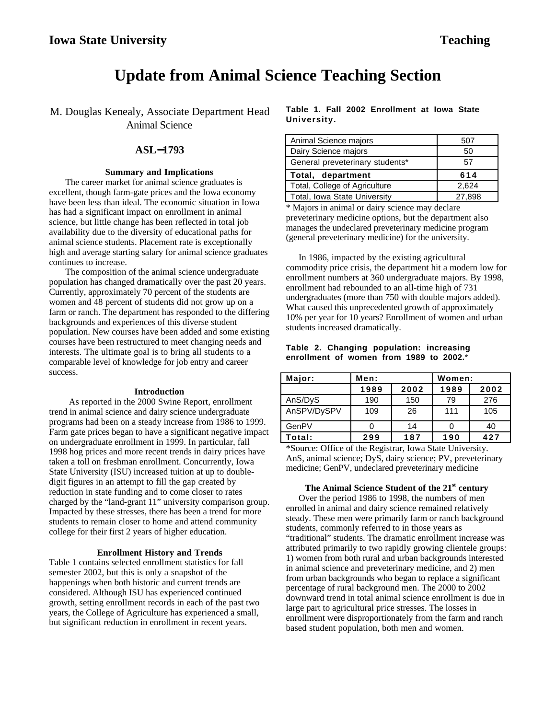# **Update from Animal Science Teaching Section**

M. Douglas Kenealy, Associate Department Head Animal Science

# **ASL**−**1793**

### **Summary and Implications**

The career market for animal science graduates is excellent, though farm-gate prices and the Iowa economy have been less than ideal. The economic situation in Iowa has had a significant impact on enrollment in animal science, but little change has been reflected in total job availability due to the diversity of educational paths for animal science students. Placement rate is exceptionally high and average starting salary for animal science graduates continues to increase.

The composition of the animal science undergraduate population has changed dramatically over the past 20 years. Currently, approximately 70 percent of the students are women and 48 percent of students did not grow up on a farm or ranch. The department has responded to the differing backgrounds and experiences of this diverse student population. New courses have been added and some existing courses have been restructured to meet changing needs and interests. The ultimate goal is to bring all students to a comparable level of knowledge for job entry and career success.

#### **Introduction**

As reported in the 2000 Swine Report, enrollment trend in animal science and dairy science undergraduate programs had been on a steady increase from 1986 to 1999. Farm gate prices began to have a significant negative impact on undergraduate enrollment in 1999. In particular, fall 1998 hog prices and more recent trends in dairy prices have taken a toll on freshman enrollment. Concurrently, Iowa State University (ISU) increased tuition at up to doubledigit figures in an attempt to fill the gap created by reduction in state funding and to come closer to rates charged by the "land-grant 11" university comparison group. Impacted by these stresses, there has been a trend for more students to remain closer to home and attend community college for their first 2 years of higher education.

#### **Enrollment History and Trends**

Table 1 contains selected enrollment statistics for fall semester 2002, but this is only a snapshot of the happenings when both historic and current trends are considered. Although ISU has experienced continued growth, setting enrollment records in each of the past two years, the College of Agriculture has experienced a small, but significant reduction in enrollment in recent years.

**Table 1. Fall 2002 Enrollment at Iowa State University.**

| Animal Science majors           | 507   |
|---------------------------------|-------|
| Dairy Science majors            | 50    |
| General preveterinary students* | 57    |
|                                 |       |
| Total, department               | 614   |
| Total, College of Agriculture   | 2,624 |

\* Majors in animal or dairy science may declare preveterinary medicine options, but the department also manages the undeclared preveterinary medicine program (general preveterinary medicine) for the university.

In 1986, impacted by the existing agricultural commodity price crisis, the department hit a modern low for enrollment numbers at 360 undergraduate majors. By 1998, enrollment had rebounded to an all-time high of 731 undergraduates (more than 750 with double majors added). What caused this unprecedented growth of approximately 10% per year for 10 years? Enrollment of women and urban students increased dramatically.

### **Table 2. Changing population: increasing enrollment of women from 1989 to 2002.**\*

| Major:      | Men: |      | Women: |      |
|-------------|------|------|--------|------|
|             | 1989 | 2002 | 1989   | 2002 |
| AnS/DyS     | 190  | 150  | 79     | 276  |
| AnSPV/DySPV | 109  | 26   | 111    | 105  |
| GenPV       |      | 14   |        | 40   |
| Total:      | 299  | 187  | 190    | 427  |

\*Source: Office of the Registrar, Iowa State University. AnS, animal science; DyS, dairy science; PV, preveterinary medicine; GenPV, undeclared preveterinary medicine

## **The Animal Science Student of the 21st century**

Over the period 1986 to 1998, the numbers of men enrolled in animal and dairy science remained relatively steady. These men were primarily farm or ranch background students, commonly referred to in those years as "traditional" students. The dramatic enrollment increase was attributed primarily to two rapidly growing clientele groups: 1) women from both rural and urban backgrounds interested in animal science and preveterinary medicine, and 2) men from urban backgrounds who began to replace a significant percentage of rural background men. The 2000 to 2002 downward trend in total animal science enrollment is due in large part to agricultural price stresses. The losses in enrollment were disproportionately from the farm and ranch based student population, both men and women.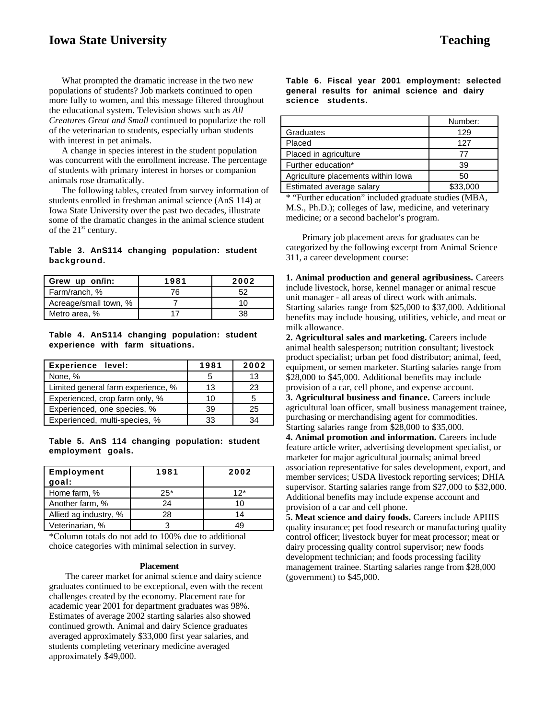# **Iowa State University Teaching**

What prompted the dramatic increase in the two new populations of students? Job markets continued to open more fully to women, and this message filtered throughout the educational system. Television shows such as *All Creatures Great and Small* continued to popularize the roll of the veterinarian to students, especially urban students with interest in pet animals.

A change in species interest in the student population was concurrent with the enrollment increase. The percentage of students with primary interest in horses or companion animals rose dramatically.

The following tables, created from survey information of students enrolled in freshman animal science (AnS 114) at Iowa State University over the past two decades, illustrate some of the dramatic changes in the animal science student of the  $21<sup>st</sup>$  century.

## **Table 3. AnS114 changing population: student background.**

| Grew up on/in:        | 1981 | 2002 |
|-----------------------|------|------|
| Farm/ranch, %         | 76   | 52   |
| Acreage/small town, % |      | 10.  |
| Metro area, %         |      |      |

**Table 4. AnS114 changing population: student experience with farm situations.**

| <b>Experience level:</b>           | 1981 | 2002 |
|------------------------------------|------|------|
| None, %                            |      | 13   |
| Limited general farm experience, % | 13   | 23   |
| Experienced, crop farm only, %     | 10   |      |
| Experienced, one species, %        | 39   | 25   |
| Experienced, multi-species, %      | 33   | 34   |

**Table 5. AnS 114 changing population: student employment goals.**

| <b>Employment</b><br>goal: | 1981  | 2002 |
|----------------------------|-------|------|
| Home farm, %               | $25*$ | 12*  |
| Another farm, %            | 24    | 10   |
| Allied ag industry, %      | 28    | 14   |
| Veterinarian, %            | ว     |      |

\*Column totals do not add to 100% due to additional choice categories with minimal selection in survey.

#### **Placement**

The career market for animal science and dairy science graduates continued to be exceptional, even with the recent challenges created by the economy. Placement rate for academic year 2001 for department graduates was 98%. Estimates of average 2002 starting salaries also showed continued growth. Animal and dairy Science graduates averaged approximately \$33,000 first year salaries, and students completing veterinary medicine averaged approximately \$49,000.

**Table 6. Fiscal year 2001 employment: selected general results for animal science and dairy science students.**

|                                    | Number:  |
|------------------------------------|----------|
| Graduates                          | 129      |
| Placed                             | 127      |
| Placed in agriculture              | 77       |
| Further education*                 | 39       |
| Agriculture placements within lowa | 50       |
| Estimated average salary           | \$33,000 |

\* "Further education" included graduate studies (MBA, M.S., Ph.D.); colleges of law, medicine, and veterinary medicine; or a second bachelor's program.

Primary job placement areas for graduates can be categorized by the following excerpt from Animal Science 311, a career development course:

**1. Animal production and general agribusiness.** Careers include livestock, horse, kennel manager or animal rescue unit manager - all areas of direct work with animals. Starting salaries range from \$25,000 to \$37,000. Additional benefits may include housing, utilities, vehicle, and meat or milk allowance.

**2. Agricultural sales and marketing.** Careers include animal health salesperson; nutrition consultant; livestock product specialist; urban pet food distributor; animal, feed, equipment, or semen marketer. Starting salaries range from \$28,000 to \$45,000. Additional benefits may include provision of a car, cell phone, and expense account. **3. Agricultural business and finance.** Careers include agricultural loan officer, small business management trainee, purchasing or merchandising agent for commodities. Starting salaries range from \$28,000 to \$35,000.

**4. Animal promotion and information.** Careers include feature article writer, advertising development specialist, or marketer for major agricultural journals; animal breed association representative for sales development, export, and member services; USDA livestock reporting services; DHIA supervisor. Starting salaries range from \$27,000 to \$32,000. Additional benefits may include expense account and provision of a car and cell phone.

**5. Meat science and dairy foods.** Careers include APHIS quality insurance; pet food research or manufacturing quality control officer; livestock buyer for meat processor; meat or dairy processing quality control supervisor; new foods development technician; and foods processing facility management trainee. Starting salaries range from \$28,000 (government) to \$45,000.